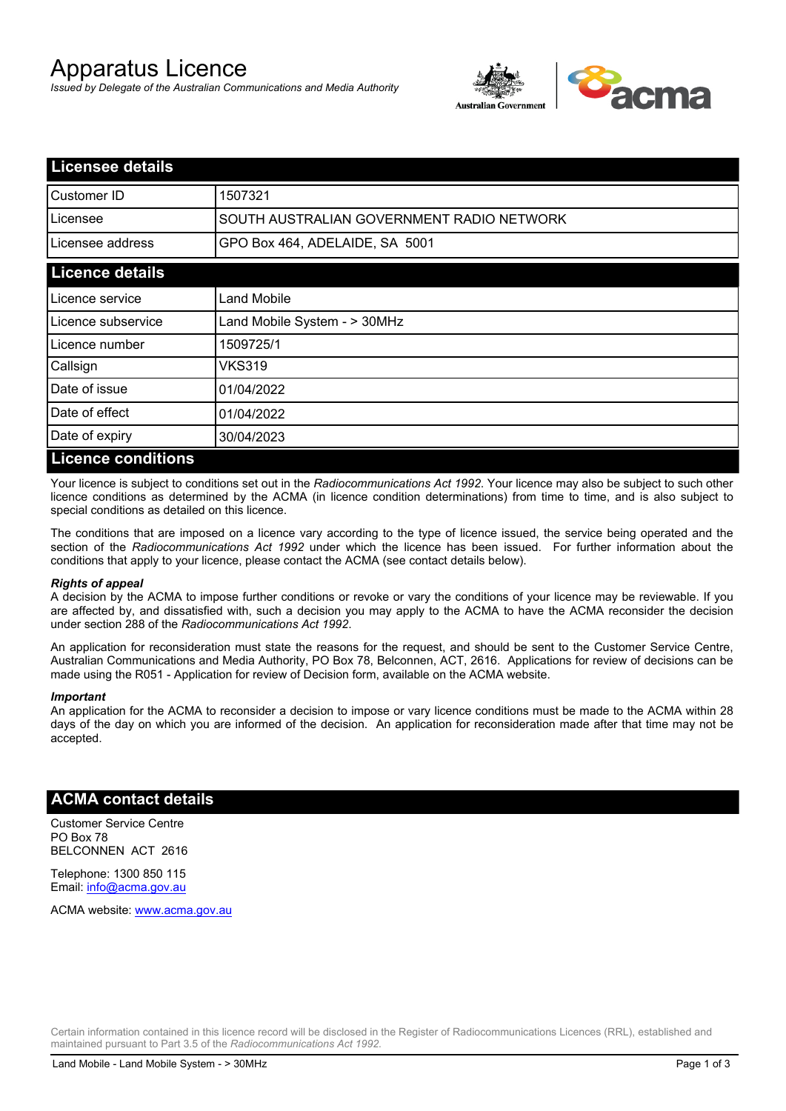# Apparatus Licence

*Issued by Delegate of the Australian Communications and Media Authority*



| <b>Licensee details</b>   |                                           |  |  |
|---------------------------|-------------------------------------------|--|--|
| Customer ID               | 1507321                                   |  |  |
| Licensee                  | SOUTH AUSTRALIAN GOVERNMENT RADIO NETWORK |  |  |
| Licensee address          | GPO Box 464, ADELAIDE, SA 5001            |  |  |
| <b>Licence details</b>    |                                           |  |  |
| Licence service           | Land Mobile                               |  |  |
| Licence subservice        | Land Mobile System - > 30MHz              |  |  |
| Licence number            | 1509725/1                                 |  |  |
| Callsign                  | VKS319                                    |  |  |
| Date of issue             | 01/04/2022                                |  |  |
| Date of effect            | 01/04/2022                                |  |  |
| Date of expiry            | 30/04/2023                                |  |  |
| <b>Licence conditions</b> |                                           |  |  |

Your licence is subject to conditions set out in the *Radiocommunications Act 1992*. Your licence may also be subject to such other licence conditions as determined by the ACMA (in licence condition determinations) from time to time, and is also subject to special conditions as detailed on this licence.

The conditions that are imposed on a licence vary according to the type of licence issued, the service being operated and the section of the *Radiocommunications Act 1992* under which the licence has been issued. For further information about the conditions that apply to your licence, please contact the ACMA (see contact details below).

#### *Rights of appeal*

A decision by the ACMA to impose further conditions or revoke or vary the conditions of your licence may be reviewable. If you are affected by, and dissatisfied with, such a decision you may apply to the ACMA to have the ACMA reconsider the decision under section 288 of the *Radiocommunications Act 1992*.

An application for reconsideration must state the reasons for the request, and should be sent to the Customer Service Centre, Australian Communications and Media Authority, PO Box 78, Belconnen, ACT, 2616. Applications for review of decisions can be made using the R051 - Application for review of Decision form, available on the ACMA website.

#### *Important*

An application for the ACMA to reconsider a decision to impose or vary licence conditions must be made to the ACMA within 28 days of the day on which you are informed of the decision. An application for reconsideration made after that time may not be accepted.

### **ACMA contact details**

Customer Service Centre PO Box 78 BELCONNEN ACT 2616

Telephone: 1300 850 115 Email: info@acma.gov.au

ACMA website: www.acma.gov.au

Certain information contained in this licence record will be disclosed in the Register of Radiocommunications Licences (RRL), established and maintained pursuant to Part 3.5 of the *Radiocommunications Act 1992.*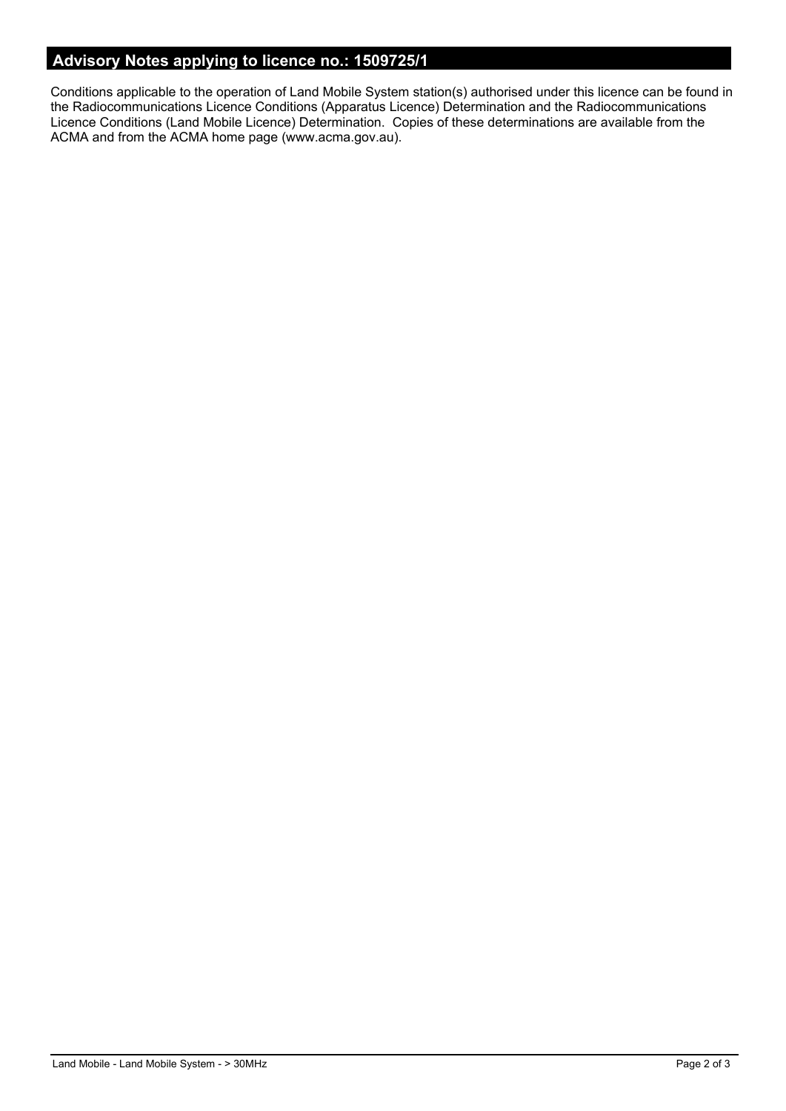### **Advisory Notes applying to licence no.: 1509725/1**

Conditions applicable to the operation of Land Mobile System station(s) authorised under this licence can be found in the Radiocommunications Licence Conditions (Apparatus Licence) Determination and the Radiocommunications Licence Conditions (Land Mobile Licence) Determination. Copies of these determinations are available from the ACMA and from the ACMA home page (www.acma.gov.au).